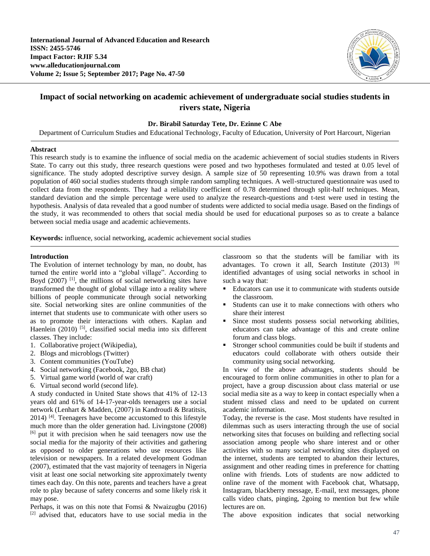

# **Impact of social networking on academic achievement of undergraduate social studies students in rivers state, Nigeria**

# **Dr. Birabil Saturday Tete, Dr. Ezinne C Abe**

Department of Curriculum Studies and Educational Technology, Faculty of Education, University of Port Harcourt, Nigerian

#### **Abstract**

This research study is to examine the influence of social media on the academic achievement of social studies students in Rivers State. To carry out this study, three research questions were posed and two hypotheses formulated and tested at 0.05 level of significance. The study adopted descriptive survey design. A sample size of 50 representing 10.9% was drawn from a total population of 460 social studies students through simple random sampling techniques. A well-structured questionnaire was used to collect data from the respondents. They had a reliability coefficient of 0.78 determined through split-half techniques. Mean, standard deviation and the simple percentage were used to analyze the research-questions and t-test were used in testing the hypothesis. Analysis of data revealed that a good number of students were addicted to social media usage. Based on the findings of the study, it was recommended to others that social media should be used for educational purposes so as to create a balance between social media usage and academic achievements.

**Keywords:** influence, social networking, academic achievement social studies

#### **Introduction**

The Evolution of internet technology by man, no doubt, has turned the entire world into a "global village". According to Boyd  $(2007)$  <sup>[1]</sup>, the millions of social networking sites have transformed the thought of global village into a reality where billions of people communicate through social networking site. Social networking sites are online communities of the internet that students use to communicate with other users so as to promote their interactions with others. Kaplan and Haenlein (2010) <sup>[5]</sup>, classified social media into six different classes. They include:

- 1. Collaborative project (Wikipedia),
- 2. Blogs and microblogs (Twitter)
- 3. Content communities (YouTube)
- 4. Social networking (Facebook, 2go, BB chat)
- 5. Virtual game world (world of war craft)
- 6. Virtual second world (second life).

A study conducted in United State shows that 41% of 12-13 years old and 61% of 14-17-year-olds teenagers use a social network (Lenhart & Madden, (2007) in Kandroudi & Bratitsis,  $2014$ ) <sup>[4]</sup>. Teenagers have become accustomed to this lifestyle much more than the older generation had. Livingstone (2008) [6] put it with precision when he said teenagers now use the social media for the majority of their activities and gathering as opposed to older generations who use resources like television or newspapers. In a related development Godman (2007), estimated that the vast majority of teenagers in Nigeria visit at least one social networking site approximately twenty times each day. On this note, parents and teachers have a great role to play because of safety concerns and some likely risk it may pose.

Perhaps, it was on this note that Fomsi & Nwaizugbu (2016)  $[2]$  advised that, educators have to use social media in the

classroom so that the students will be familiar with its advantages. To crown it all, Search Institute (2013) [8] identified advantages of using social networks in school in such a way that:

- Educators can use it to communicate with students outside the classroom.
- Students can use it to make connections with others who share their interest
- Since most students possess social networking abilities, educators can take advantage of this and create online forum and class blogs.
- Stronger school communities could be built if students and educators could collaborate with others outside their community using social networking.

In view of the above advantages, students should be encouraged to form online communities in other to plan for a project, have a group discussion about class material or use social media site as a way to keep in contact especially when a student missed class and need to be updated on current academic information.

Today, the reverse is the case. Most students have resulted in dilemmas such as users interacting through the use of social networking sites that focuses on building and reflecting social association among people who share interest and or other activities with so many social networking sites displayed on the internet, students are tempted to abandon their lectures, assignment and other reading times in preference for chatting online with friends. Lots of students are now addicted to online rave of the moment with Facebook chat, Whatsapp, Instagram, blackberry message, E-mail, text messages, phone calls video chats, pinging, 2going to mention but few while lectures are on.

The above exposition indicates that social networking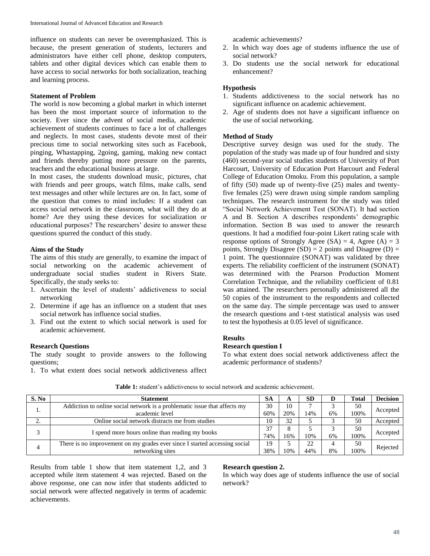influence on students can never be overemphasized. This is because, the present generation of students, lecturers and administrators have either cell phone, desktop computers, tablets and other digital devices which can enable them to have access to social networks for both socialization, teaching and learning process.

# **Statement of Problem**

The world is now becoming a global market in which internet has been the most important source of information to the society. Ever since the advent of social media, academic achievement of students continues to face a lot of challenges and neglects. In most cases, students devote most of their precious time to social networking sites such as Facebook, pinging, Whastapping, 2going, gaming, making new contact and friends thereby putting more pressure on the parents, teachers and the educational business at large.

In most cases, the students download music, pictures, chat with friends and peer groups, watch films, make calls, send text messages and other while lectures are on. In fact, some of the question that comes to mind includes: If a student can access social network in the classroom, what will they do at home? Are they using these devices for socialization or educational purposes? The researchers' desire to answer these questions spurred the conduct of this study.

# **Aims of the Study**

The aims of this study are generally, to examine the impact of social networking on the academic achievement of undergraduate social studies student in Rivers State. Specifically, the study seeks to:

- 1. Ascertain the level of students' addictiveness to social networking
- 2. Determine if age has an influence on a student that uses social network has influence social studies.
- 3. Find out the extent to which social network is used for academic achievement.

#### **Research Questions**

The study sought to provide answers to the following questions;

1. To what extent does social network addictiveness affect

academic achievements?

- 2. In which way does age of students influence the use of social network?
- 3. Do students use the social network for educational enhancement?

# **Hypothesis**

- 1. Students addictiveness to the social network has no significant influence on academic achievement.
- 2. Age of students does not have a significant influence on the use of social networking.

# **Method of Study**

Descriptive survey design was used for the study. The population of the study was made up of four hundred and sixty (460) second-year social studies students of University of Port Harcourt, University of Education Port Harcourt and Federal College of Education Omoku. From this population, a sample of fifty (50) made up of twenty-five (25) males and twentyfive females (25) were drawn using simple random sampling techniques. The research instrument for the study was titled "Social Network Achievement Test (SONAT). It had section A and B. Section A describes respondents' demographic information. Section B was used to answer the research questions. It had a modified four-point Likert rating scale with response options of Strongly Agree (SA) = 4, Agree (A) = 3 points, Strongly Disagree  $(SD) = 2$  points and Disagree  $(D) =$ 1 point. The questionnaire (SONAT) was validated by three experts. The reliability coefficient of the instrument (SONAT) was determined with the Pearson Production Moment Correlation Technique, and the reliability coefficient of 0.81 was attained. The researchers personally administered all the 50 copies of the instrument to the respondents and collected on the same day. The simple percentage was used to answer the research questions and t-test statistical analysis was used to test the hypothesis at 0.05 level of significance.

# **Results**

#### **Research question I**

To what extent does social network addictiveness affect the academic performance of students?

| S. No     | <b>Statement</b>                                                           | <b>SA</b> | A   | <b>SD</b> |    | <b>Total</b> | <b>Decision</b> |
|-----------|----------------------------------------------------------------------------|-----------|-----|-----------|----|--------------|-----------------|
|           | Addiction to online social network is a problematic issue that affects my  | 30        | 10  |           |    | 50           |                 |
| .,        | academic level                                                             | 60%       | 20% | 14%       | 6% | 100%         | Accepted        |
| <b>4.</b> | Online social network distracts me from studies                            | 10        | 32  |           |    | 50           | Accepted        |
| ◠         | I spend more hours online than reading my books                            |           | 8   |           |    | 50           | Accepted        |
|           |                                                                            | 74%       | 16% | 10%       | 6% | 100%         |                 |
| 4         | There is no improvement on my grades ever since I started accessing social |           |     | 22        |    | 50           | Rejected        |
|           | networking sites                                                           | 38%       | 10% | 44%       | 8% | 100%         |                 |

**Table 1:** student's addictiveness to social network and academic achievement.

Results from table 1 show that item statement 1,2, and 3 accepted while item statement 4 was rejected. Based on the above response, one can now infer that students addicted to social network were affected negatively in terms of academic achievements.

# **Research question 2.**

In which way does age of students influence the use of social network?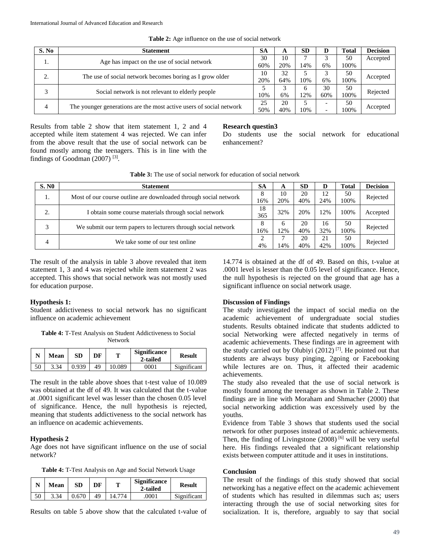| S. No | <b>Statement</b>                                                    | <b>SA</b> | A   | <b>SD</b>    | IJ                       | <b>Total</b> | <b>Decision</b> |
|-------|---------------------------------------------------------------------|-----------|-----|--------------|--------------------------|--------------|-----------------|
|       | Age has impact on the use of social network                         |           | 10  | −            |                          | 50           | Accepted        |
| . .   |                                                                     | 60%       | 20% | 14%          | 6%                       | 100%         |                 |
| ◠     | The use of social network becomes boring as I grow older            |           | 32  |              |                          | 50           |                 |
| ـ.    |                                                                     | 20%       | 64% | 10%          | 6%                       | 100%         | Accepted        |
|       |                                                                     |           |     | <sub>0</sub> | 30                       | 50           |                 |
|       | Social network is not relevant to elderly people                    | 10%       | 6%  | 2%           | 60%                      | 100%         | Rejected        |
| 4     | The younger generations are the most active users of social network |           | 20  |              | $\overline{\phantom{0}}$ | 50           |                 |
|       |                                                                     |           | 40% | 10%          | $\overline{\phantom{0}}$ | 100%         | Accepted        |

**Table 2:** Age influence on the use of social network

Results from table 2 show that item statement 1, 2 and 4 accepted while item statement 4 was rejected. We can infer from the above result that the use of social network can be found mostly among the teenagers. This is in line with the findings of Goodman (2007)<sup>[3]</sup>.

#### **Research questin3**

Do students use the social network for educational enhancement?

| <b>Table 3:</b> The use of social network for education of social network |
|---------------------------------------------------------------------------|
|---------------------------------------------------------------------------|

| <b>S. NO</b>                                                     | <b>Statement</b>                                              | <b>SA</b> | A            | <b>SD</b> | D   | <b>Total</b> | <b>Decision</b> |
|------------------------------------------------------------------|---------------------------------------------------------------|-----------|--------------|-----------|-----|--------------|-----------------|
| Most of our course outline are downloaded through social network |                                                               | 8         | 10           | 20        | 12  | 50           | Rejected        |
| . .                                                              |                                                               | 16%       | 20%          | 40%       | 24% | 100%         |                 |
| ◠<br>٠.                                                          | I obtain some course materials through social network         |           | 32%          | 20%       | 12% | 100%         | Accepted        |
|                                                                  |                                                               | 365       |              |           |     |              |                 |
|                                                                  |                                                               | 8         | <sub>0</sub> | 20        | 16  | 50           |                 |
|                                                                  | We submit our term papers to lecturers through social network |           | !2%          | 40%       | 32% | 100%         | Rejected        |
|                                                                  | We take some of our test online.                              |           | −            | 20        | 21  | 50           | Rejected        |
| $\overline{4}$                                                   |                                                               |           | 14%          | 40%       | 42% | 100%         |                 |

The result of the analysis in table 3 above revealed that item statement 1, 3 and 4 was rejected while item statement 2 was accepted. This shows that social network was not mostly used for education purpose.

#### **Hypothesis 1:**

Student addictiveness to social network has no significant influence on academic achievement

**Table 4:** T-Test Analysis on Student Addictiveness to Social Network

|           | Mean | SD    | DF | m     | <b>Significance</b><br>2-tailed | <b>Result</b> |
|-----------|------|-------|----|-------|---------------------------------|---------------|
| <b>JU</b> | 3.34 | 0.939 | 49 | 0.089 | 0001                            | Significant   |

The result in the table above shoes that t-test value of 10.089 was obtained at the df of 49. It was calculated that the t-value at .0001 significant level was lesser than the chosen 0.05 level of significance. Hence, the null hypothesis is rejected, meaning that students addictiveness to the social network has an influence on academic achievements.

#### **Hypothesis 2**

Age does not have significant influence on the use of social network?

**Table 4:** T-Test Analysis on Age and Social Network Usage

|    | Mean | SD    | DF | <b>Significance</b><br>2-tailed | <b>Result</b> |
|----|------|-------|----|---------------------------------|---------------|
| 50 | 3.34 | 0.670 | 49 | .0001                           | Significant   |

Results on table 5 above show that the calculated t-value of

14.774 is obtained at the df of 49. Based on this, t-value at .0001 level is lesser than the 0.05 level of significance. Hence, the null hypothesis is rejected on the ground that age has a significant influence on social network usage.

#### **Discussion of Findings**

The study investigated the impact of social media on the academic achievement of undergraduate social studies students. Results obtained indicate that students addicted to social Networking were affected negatively in terms of academic achievements. These findings are in agreement with the study carried out by Olubiyi  $(2012)$ <sup>[7]</sup>. He pointed out that students are always busy pinging, 2going or Facebooking while lectures are on. Thus, it affected their academic achievements.

The study also revealed that the use of social network is mostly found among the teenager as shown in Table 2. These findings are in line with Moraham and Shmacher (2000) that social networking addiction was excessively used by the youths.

Evidence from Table 3 shows that students used the social network for other purposes instead of academic achievements. Then, the finding of Livingstone  $(2008)^{6}$  will be very useful here. His findings revealed that a significant relationship exists between computer attitude and it uses in institutions.

#### **Conclusion**

The result of the findings of this study showed that social networking has a negative effect on the academic achievement of students which has resulted in dilemmas such as; users interacting through the use of social networking sites for socialization. It is, therefore, arguably to say that social